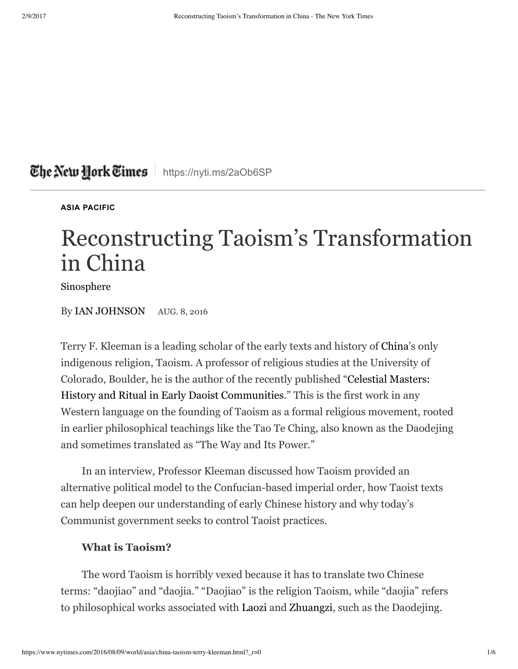## The New Hork Times | https://nyti.ms/2aOb6SP

**ASIA PACIFIC**

# Reconstructing Taoism's Transformation in China

Sinosphere

By IAN JOHNSON AUG. 8, 2016

Terry F. Kleeman is a leading scholar of the early texts and history of China's only indigenous religion, Taoism. A professor of religious studies at the University of Colorado, Boulder, he is the author of the recently published "Celestial Masters: History and Ritual in Early Daoist Communities." This is the first work in any Western language on the founding of Taoism as a formal religious movement, rooted in earlier philosophical teachings like the Tao Te Ching, also known as the Daodejing and sometimes translated as "The Way and Its Power."

In an interview, Professor Kleeman discussed how Taoism provided an alternative political model to the Confucian-based imperial order, how Taoist texts can help deepen our understanding of early Chinese history and why today's Communist government seeks to control Taoist practices.

#### **What is Taoism?**

The word Taoism is horribly vexed because it has to translate two Chinese terms: "daojiao" and "daojia." "Daojiao" is the religion Taoism, while "daojia" refers to philosophical works associated with Laozi and Zhuangzi, such as the Daodejing.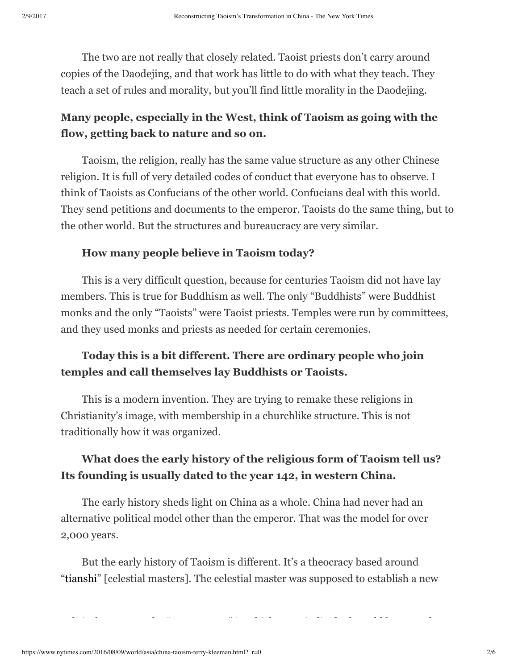The two are not really that closely related. Taoist priests don't carry around copies of the Daodejing, and that work has little to do with what they teach. They teach a set of rules and morality, but you'll find little morality in the Daodejing.

## **Many people, especially in the West, think of Taoism as going with the flow, getting back to nature and so on.**

Taoism, the religion, really has the same value structure as any other Chinese religion. It is full of very detailed codes of conduct that everyone has to observe. I think of Taoists as Confucians of the other world. Confucians deal with this world. They send petitions and documents to the emperor. Taoists do the same thing, but to the other world. But the structures and bureaucracy are very similar.

#### **How many people believe in Taoism today?**

This is a very difficult question, because for centuries Taoism did not have lay members. This is true for Buddhism as well. The only "Buddhists" were Buddhist monks and the only "Taoists" were Taoist priests. Temples were run by committees, and they used monks and priests as needed for certain ceremonies.

### **Today this is a bit different. There are ordinary people who join temples and call themselves lay Buddhists or Taoists.**

This is a modern invention. They are trying to remake these religions in Christianity's image, with membership in a churchlike structure. This is not traditionally how it was organized.

### **What does the early history of the religious form of Taoism tell us? Its founding is usually dated to the year 142, in western China.**

The early history sheds light on China as a whole. China had never had an alternative political model other than the emperor. That was the model for over 2,000 years.

But the early history of Taoism is different. It's a theocracy based around "tianshi" [celestial masters]. The celestial master was supposed to establish a new

political structure, the "Great Peace," in which every individual would be treated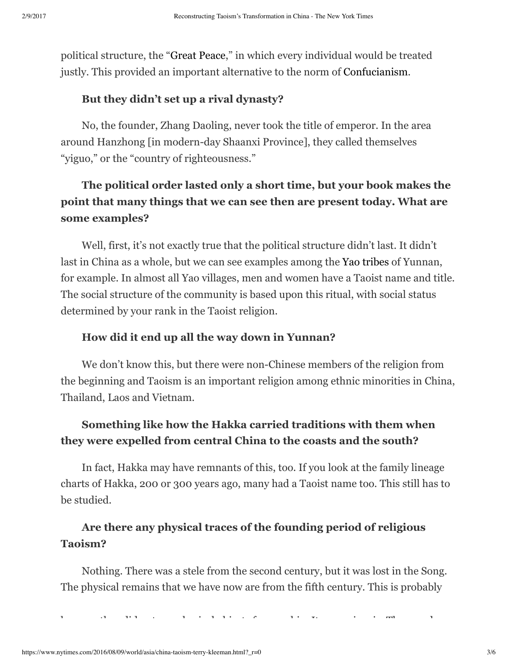political structure, the "Great Peace," in which every individual would be treated justly. This provided an important alternative to the norm of Confucianism.

#### **But they didn't set up a rival dynasty?**

No, the founder, Zhang Daoling, never took the title of emperor. In the area around Hanzhong [in modern-day Shaanxi Province], they called themselves "yiguo," or the "country of righteousness."

## **The political order lasted only a short time, but your book makes the point that many things that we can see then are present today. What are some examples?**

Well, first, it's not exactly true that the political structure didn't last. It didn't last in China as a whole, but we can see examples among the Yao tribes of Yunnan, for example. In almost all Yao villages, men and women have a Taoist name and title. The social structure of the community is based upon this ritual, with social status determined by your rank in the Taoist religion.

#### **How did it end up all the way down in Yunnan?**

We don't know this, but there were non-Chinese members of the religion from the beginning and Taoism is an important religion among ethnic minorities in China, Thailand, Laos and Vietnam.

## **Something like how the Hakka carried traditions with them when they were expelled from central China to the coasts and the south?**

In fact, Hakka may have remnants of this, too. If you look at the family lineage charts of Hakka, 200 or 300 years ago, many had a Taoist name too. This still has to be studied.

## **Are there any physical traces of the founding period of religious Taoism?**

Nothing. There was a stele from the second century, but it was lost in the Song. The physical remains that we have now are from the fifth century. This is probably

because they did not use physical objects for worship. It was aniconic. They used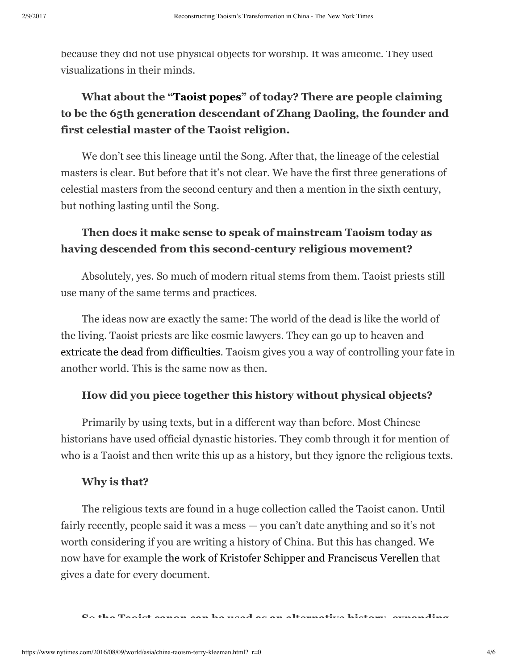because they did not use physical objects for worship. It was aniconic. They used visualizations in their minds.

## **What about the "Taoist popes" of today? There are people claiming to be the 65th generation descendant of Zhang Daoling, the founder and first celestial master of the Taoist religion.**

We don't see this lineage until the Song. After that, the lineage of the celestial masters is clear. But before that it's not clear. We have the first three generations of celestial masters from the second century and then a mention in the sixth century, but nothing lasting until the Song.

## **Then does it make sense to speak of mainstream Taoism today as having descended from this second-century religious movement?**

Absolutely, yes. So much of modern ritual stems from them. Taoist priests still use many of the same terms and practices.

The ideas now are exactly the same: The world of the dead is like the world of the living. Taoist priests are like cosmic lawyers. They can go up to heaven and extricate the dead from difficulties. Taoism gives you a way of controlling your fate in another world. This is the same now as then.

#### **How did you piece together this history without physical objects?**

Primarily by using texts, but in a different way than before. Most Chinese historians have used official dynastic histories. They comb through it for mention of who is a Taoist and then write this up as a history, but they ignore the religious texts.

#### **Why is that?**

The religious texts are found in a huge collection called the Taoist canon. Until fairly recently, people said it was a mess — you can't date anything and so it's not worth considering if you are writing a history of China. But this has changed. We now have for example the work of Kristofer Schipper and Franciscus Verellen that gives a date for every document.

**So the Taoist canon can be used as an alternative history, expanding**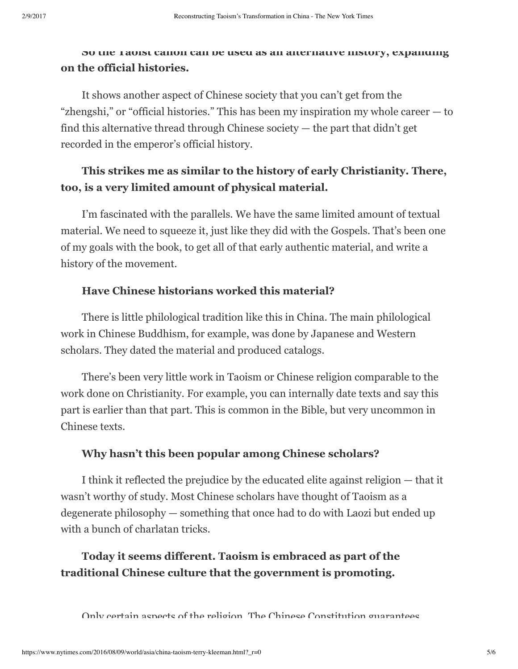#### **So the Taoist canon can be used as an alternative history, expanding on the official histories.**

It shows another aspect of Chinese society that you can't get from the "zhengshi," or "official histories." This has been my inspiration my whole career — to find this alternative thread through Chinese society — the part that didn't get recorded in the emperor's official history.

## **This strikes me as similar to the history of early Christianity. There, too, is a very limited amount of physical material.**

I'm fascinated with the parallels. We have the same limited amount of textual material. We need to squeeze it, just like they did with the Gospels. That's been one of my goals with the book, to get all of that early authentic material, and write a history of the movement.

#### **Have Chinese historians worked this material?**

There is little philological tradition like this in China. The main philological work in Chinese Buddhism, for example, was done by Japanese and Western scholars. They dated the material and produced catalogs.

There's been very little work in Taoism or Chinese religion comparable to the work done on Christianity. For example, you can internally date texts and say this part is earlier than that part. This is common in the Bible, but very uncommon in Chinese texts.

#### **Why hasn't this been popular among Chinese scholars?**

I think it reflected the prejudice by the educated elite against religion — that it wasn't worthy of study. Most Chinese scholars have thought of Taoism as a degenerate philosophy — something that once had to do with Laozi but ended up with a bunch of charlatan tricks.

## **Today it seems different. Taoism is embraced as part of the traditional Chinese culture that the government is promoting.**

Only certain aspects of the religion. The Chinese Constitution guarantees